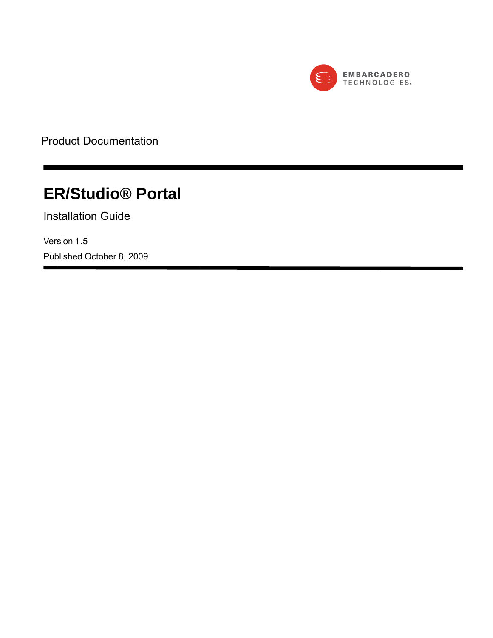

Product Documentation

# **ER/Studio® Portal**

Installation Guide

Version 1.5 Published October 8, 2009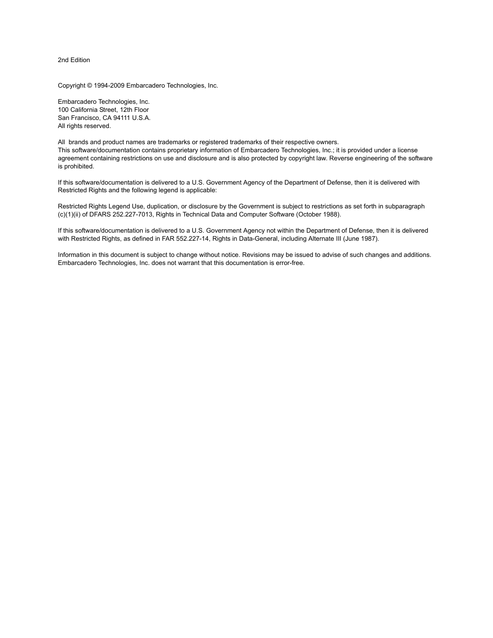2nd Edition

Copyright © 1994-2009 Embarcadero Technologies, Inc.

Embarcadero Technologies, Inc. 100 California Street, 12th Floor San Francisco, CA 94111 U.S.A. All rights reserved.

All brands and product names are trademarks or registered trademarks of their respective owners. This software/documentation contains proprietary information of Embarcadero Technologies, Inc.; it is provided under a license agreement containing restrictions on use and disclosure and is also protected by copyright law. Reverse engineering of the software is prohibited.

If this software/documentation is delivered to a U.S. Government Agency of the Department of Defense, then it is delivered with Restricted Rights and the following legend is applicable:

Restricted Rights Legend Use, duplication, or disclosure by the Government is subject to restrictions as set forth in subparagraph (c)(1)(ii) of DFARS 252.227-7013, Rights in Technical Data and Computer Software (October 1988).

If this software/documentation is delivered to a U.S. Government Agency not within the Department of Defense, then it is delivered with Restricted Rights, as defined in FAR 552.227-14, Rights in Data-General, including Alternate III (June 1987).

Information in this document is subject to change without notice. Revisions may be issued to advise of such changes and additions. Embarcadero Technologies, Inc. does not warrant that this documentation is error-free.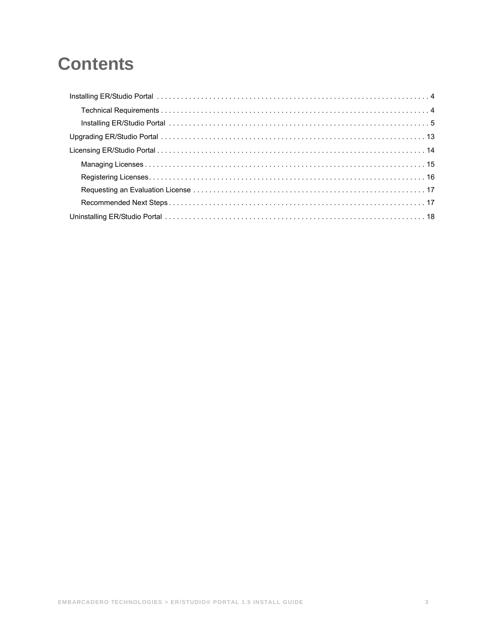# **Contents**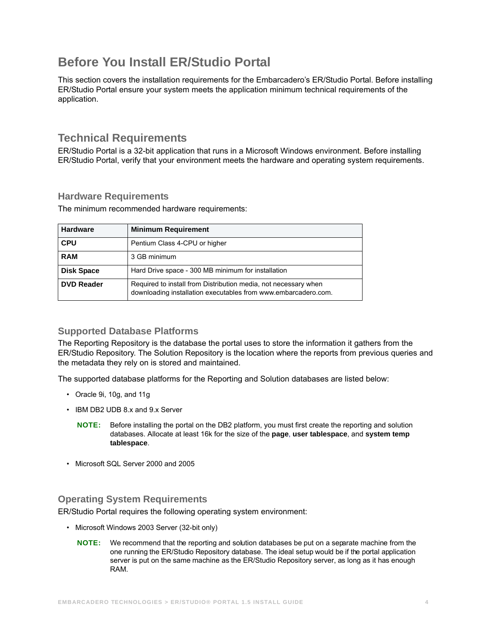## <span id="page-3-0"></span>**Before You Install ER/Studio Portal**

This section covers the installation requirements for the Embarcadero's ER/Studio Portal. Before installing ER/Studio Portal ensure your system meets the application minimum technical requirements of the application.

## <span id="page-3-1"></span>**Technical Requirements**

ER/Studio Portal is a 32-bit application that runs in a Microsoft Windows environment. Before installing ER/Studio Portal, verify that your environment meets the hardware and operating system requirements.

### **Hardware Requirements**

The minimum recommended hardware requirements:

| <b>Hardware</b>   | <b>Minimum Requirement</b>                                                                                                        |
|-------------------|-----------------------------------------------------------------------------------------------------------------------------------|
| <b>CPU</b>        | Pentium Class 4-CPU or higher                                                                                                     |
| <b>RAM</b>        | 3 GB minimum                                                                                                                      |
| <b>Disk Space</b> | Hard Drive space - 300 MB minimum for installation                                                                                |
| <b>DVD Reader</b> | Required to install from Distribution media, not necessary when<br>downloading installation executables from www.embarcadero.com. |

### **Supported Database Platforms**

The Reporting Repository is the database the portal uses to store the information it gathers from the ER/Studio Repository. The Solution Repository is the location where the reports from previous queries and the metadata they rely on is stored and maintained.

The supported database platforms for the Reporting and Solution databases are listed below:

- Oracle 9i, 10g, and 11g
- IBM DB2 UDB 8.x and 9.x Server
	- **NOTE:** Before installing the portal on the DB2 platform, you must first create the reporting and solution databases. Allocate at least 16k for the size of the **page**, **user tablespace**, and **system temp tablespace**.
- Microsoft SQL Server 2000 and 2005

### **Operating System Requirements**

ER/Studio Portal requires the following operating system environment:

- Microsoft Windows 2003 Server (32-bit only)
	- **NOTE:** We recommend that the reporting and solution databases be put on a separate machine from the one running the ER/Studio Repository database. The ideal setup would be if the portal application server is put on the same machine as the ER/Studio Repository server, as long as it has enough RAM.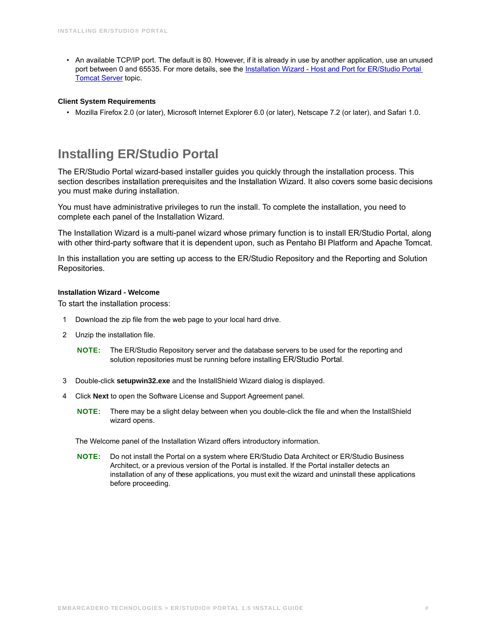• An available TCP/IP port. The default is 80. However, if it is already in use by another application, use an unused port between 0 and 65535. For more details, see the [Installation Wizard - Host and Port for ER/Studio Portal](#page-5-0) **[Tomcat Server](#page-5-0) topic.** 

#### <span id="page-4-1"></span>**Client System Requirements**

• Mozilla Firefox 2.0 (or later), Microsoft Internet Explorer 6.0 (or later), Netscape 7.2 (or later), and Safari 1.0.

## <span id="page-4-0"></span>**Installing ER/Studio Portal**

The ER/Studio Portal wizard-based installer guides you quickly through the installation process. This section describes installation prerequisites and the Installation Wizard. It also covers some basic decisions you must make during installation.

You must have administrative privileges to run the install. To complete the installation, you need to complete each panel of the Installation Wizard.

The Installation Wizard is a multi-panel wizard whose primary function is to install ER/Studio Portal, along with other third-party software that it is dependent upon, such as Pentaho BI Platform and Apache Tomcat.

In this installation you are setting up access to the ER/Studio Repository and the Reporting and Solution Repositories.

#### **Installation Wizard - Welcome**

To start the installation process:

- 1 Download the zip file from the web page to your local hard drive.
- 2 Unzip the installation file.
	- **NOTE:** The ER/Studio Repository server and the database servers to be used for the reporting and solution repositories must be running before installing ER/Studio Portal.
- 3 Double-click **setupwin32.exe** and the InstallShield Wizard dialog is displayed.
- 4 Click **Next** to open the Software License and Support Agreement panel.
	- **NOTE:** There may be a slight delay between when you double-click the file and when the InstallShield wizard opens.

The Welcome panel of the Installation Wizard offers introductory information.

**NOTE:** Do not install the Portal on a system where ER/Studio Data Architect or ER/Studio Business Architect, or a previous version of the Portal is installed. If the Portal installer detects an installation of any of these applications, you must exit the wizard and uninstall these applications before proceeding.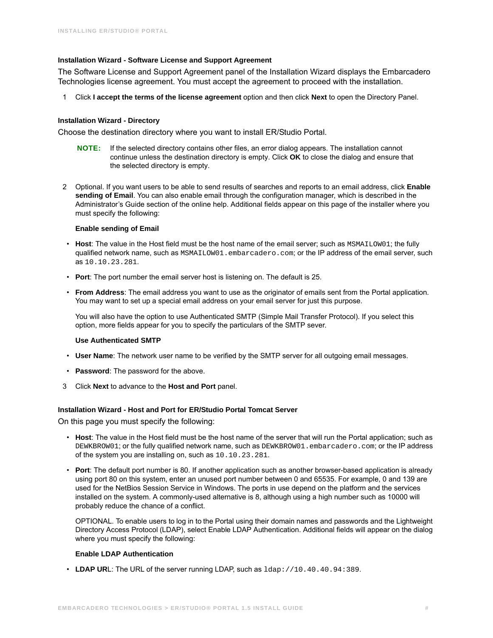#### **Installation Wizard - Software License and Support Agreement**

The Software License and Support Agreement panel of the Installation Wizard displays the Embarcadero Technologies license agreement. You must accept the agreement to proceed with the installation.

1 Click **I accept the terms of the license agreement** option and then click **Next** to open the Directory Panel.

#### **Installation Wizard - Directory**

Choose the destination directory where you want to install ER/Studio Portal.

- **NOTE:** If the selected directory contains other files, an error dialog appears. The installation cannot continue unless the destination directory is empty. Click **OK** to close the dialog and ensure that the selected directory is empty.
- 2 Optional. If you want users to be able to send results of searches and reports to an email address, click **Enable sending of Email**. You can also enable email through the configuration manager, which is described in the Administrator's Guide section of the online help. Additional fields appear on this page of the installer where you must specify the following:

#### **Enable sending of Email**

- Host: The value in the Host field must be the host name of the email server; such as MSMAILOW01; the fully qualified network name, such as MSMAILOW01.embarcadero.com; or the IP address of the email server, such as 10.10.23.281.
- **Port**: The port number the email server host is listening on. The default is 25.
- **From Address**: The email address you want to use as the originator of emails sent from the Portal application. You may want to set up a special email address on your email server for just this purpose.

You will also have the option to use Authenticated SMTP (Simple Mail Transfer Protocol). If you select this option, more fields appear for you to specify the particulars of the SMTP sever.

#### **Use Authenticated SMTP**

- **User Name**: The network user name to be verified by the SMTP server for all outgoing email messages.
- **Password**: The password for the above.
- 3 Click **Next** to advance to the **Host and Port** panel.

#### <span id="page-5-0"></span>**Installation Wizard - Host and Port for ER/Studio Portal Tomcat Server**

On this page you must specify the following:

- **Host**: The value in the Host field must be the host name of the server that will run the Portal application; such as DEWKBROW01; or the fully qualified network name, such as DEWKBROW01.embarcadero.com; or the IP address of the system you are installing on, such as 10.10.23.281.
- **Port**: The default port number is 80. If another application such as another browser-based application is already using port 80 on this system, enter an unused port number between 0 and 65535. For example, 0 and 139 are used for the NetBios Session Service in Windows. The ports in use depend on the platform and the services installed on the system. A commonly-used alternative is 8, although using a high number such as 10000 will probably reduce the chance of a conflict.

OPTIONAL. To enable users to log in to the Portal using their domain names and passwords and the Lightweight Directory Access Protocol (LDAP), select Enable LDAP Authentication. Additional fields will appear on the dialog where you must specify the following:

#### **Enable LDAP Authentication**

• LDAP URL: The URL of the server running LDAP, such as  $1$ dap: //10.40.40.94:389.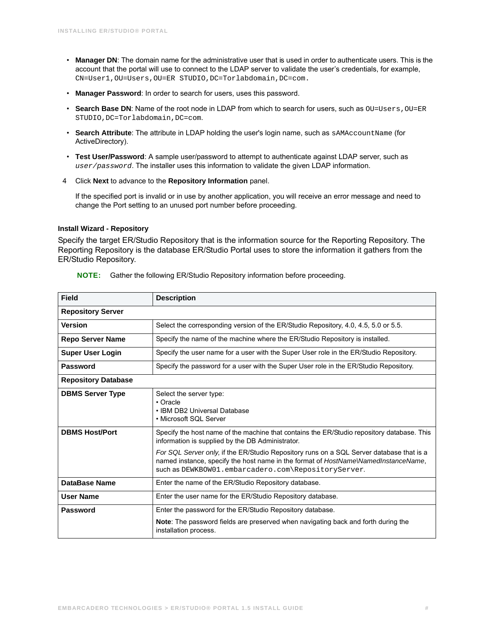- **Manager DN**: The domain name for the administrative user that is used in order to authenticate users. This is the account that the portal will use to connect to the LDAP server to validate the user's credentials, for example, CN=User1,OU=Users,OU=ER STUDIO,DC=Torlabdomain,DC=com.
- **Manager Password**: In order to search for users, uses this password.
- Search Base DN: Name of the root node in LDAP from which to search for users, such as OU=Users, OU=ER STUDIO,DC=Torlabdomain,DC=com.
- Search Attribute: The attribute in LDAP holding the user's login name, such as sAMAccountName (for ActiveDirectory).
- **Test User/Password**: A sample user/password to attempt to authenticate against LDAP server, such as *user/password*. The installer uses this information to validate the given LDAP information.
- 4 Click **Next** to advance to the **Repository Information** panel.

If the specified port is invalid or in use by another application, you will receive an error message and need to change the Port setting to an unused port number before proceeding.

#### **Install Wizard - Repository**

Specify the target ER/Studio Repository that is the information source for the Reporting Repository. The Reporting Repository is the database ER/Studio Portal uses to store the information it gathers from the ER/Studio Repository.

| Field                      | <b>Description</b>                                                                                                                                                                                                                                                                                                                                                                     |  |  |  |
|----------------------------|----------------------------------------------------------------------------------------------------------------------------------------------------------------------------------------------------------------------------------------------------------------------------------------------------------------------------------------------------------------------------------------|--|--|--|
| <b>Repository Server</b>   |                                                                                                                                                                                                                                                                                                                                                                                        |  |  |  |
| <b>Version</b>             | Select the corresponding version of the ER/Studio Repository, 4.0, 4.5, 5.0 or 5.5.                                                                                                                                                                                                                                                                                                    |  |  |  |
| <b>Repo Server Name</b>    | Specify the name of the machine where the ER/Studio Repository is installed.                                                                                                                                                                                                                                                                                                           |  |  |  |
| <b>Super User Login</b>    | Specify the user name for a user with the Super User role in the ER/Studio Repository.                                                                                                                                                                                                                                                                                                 |  |  |  |
| Password                   | Specify the password for a user with the Super User role in the ER/Studio Repository.                                                                                                                                                                                                                                                                                                  |  |  |  |
| <b>Repository Database</b> |                                                                                                                                                                                                                                                                                                                                                                                        |  |  |  |
| <b>DBMS Server Type</b>    | Select the server type:<br>$\cdot$ Oracle<br>• IBM DB2 Universal Database<br>• Microsoft SQL Server                                                                                                                                                                                                                                                                                    |  |  |  |
| <b>DBMS Host/Port</b>      | Specify the host name of the machine that contains the ER/Studio repository database. This<br>information is supplied by the DB Administrator.<br>For SQL Server only, if the ER/Studio Repository runs on a SQL Server database that is a<br>named instance, specify the host name in the format of HostNameWamedInstanceName,<br>such as DEWKBOW01.embarcadero.com\RepositoryServer. |  |  |  |
| DataBase Name              | Enter the name of the ER/Studio Repository database.                                                                                                                                                                                                                                                                                                                                   |  |  |  |
| <b>User Name</b>           | Enter the user name for the ER/Studio Repository database.                                                                                                                                                                                                                                                                                                                             |  |  |  |
| Password                   | Enter the password for the ER/Studio Repository database.<br>Note: The password fields are preserved when navigating back and forth during the<br>installation process.                                                                                                                                                                                                                |  |  |  |

**NOTE:** Gather the following ER/Studio Repository information before proceeding.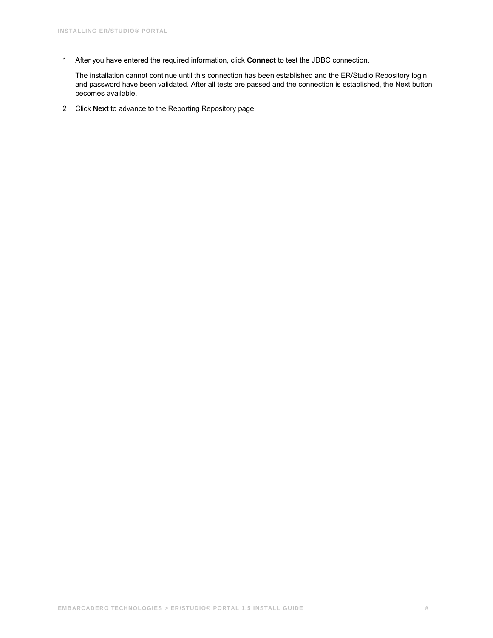1 After you have entered the required information, click **Connect** to test the JDBC connection.

The installation cannot continue until this connection has been established and the ER/Studio Repository login and password have been validated. After all tests are passed and the connection is established, the Next button becomes available.

2 Click **Next** to advance to the Reporting Repository page.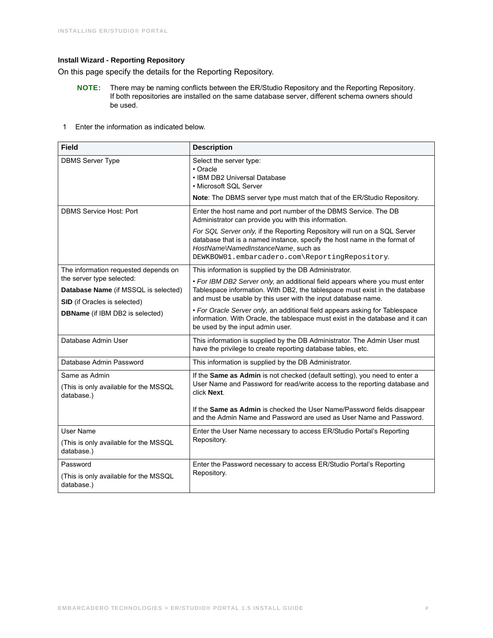#### **Install Wizard - Reporting Repository**

On this page specify the details for the Reporting Repository.

- **NOTE:** There may be naming conflicts between the ER/Studio Repository and the Reporting Repository. If both repositories are installed on the same database server, different schema owners should be used.
- 1 Enter the information as indicated below.

| <b>Field</b>                                                                                             | <b>Description</b>                                                                                                                                                                                                                                 |
|----------------------------------------------------------------------------------------------------------|----------------------------------------------------------------------------------------------------------------------------------------------------------------------------------------------------------------------------------------------------|
| <b>DBMS Server Type</b>                                                                                  | Select the server type:<br>• Oracle<br>• IBM DB2 Universal Database<br>• Microsoft SQL Server                                                                                                                                                      |
|                                                                                                          | Note: The DBMS server type must match that of the ER/Studio Repository.                                                                                                                                                                            |
| <b>DBMS Service Host: Port</b>                                                                           | Enter the host name and port number of the DBMS Service. The DB<br>Administrator can provide you with this information.                                                                                                                            |
|                                                                                                          | For SQL Server only, if the Reporting Repository will run on a SQL Server<br>database that is a named instance, specify the host name in the format of<br>HostName\NamedInstanceName, such as<br>DEWKBOW01.embarcadero.com\ReportingRepository.    |
| The information requested depends on                                                                     | This information is supplied by the DB Administrator.                                                                                                                                                                                              |
| the server type selected:<br>Database Name (if MSSQL is selected)<br><b>SID</b> (if Oracles is selected) | • For IBM DB2 Server only, an additional field appears where you must enter<br>Tablespace information. With DB2, the tablespace must exist in the database<br>and must be usable by this user with the input database name.                        |
| <b>DBName</b> (if IBM DB2 is selected)                                                                   | • For Oracle Server only, an additional field appears asking for Tablespace<br>information. With Oracle, the tablespace must exist in the database and it can<br>be used by the input admin user.                                                  |
| Database Admin User                                                                                      | This information is supplied by the DB Administrator. The Admin User must<br>have the privilege to create reporting database tables, etc.                                                                                                          |
| Database Admin Password                                                                                  | This information is supplied by the DB Administrator.                                                                                                                                                                                              |
| Same as Admin<br>(This is only available for the MSSQL<br>database.)                                     | If the Same as Admin is not checked (default setting), you need to enter a<br>User Name and Password for read/write access to the reporting database and<br>click Next.<br>If the Same as Admin is checked the User Name/Password fields disappear |
|                                                                                                          | and the Admin Name and Password are used as User Name and Password.                                                                                                                                                                                |
| <b>User Name</b>                                                                                         | Enter the User Name necessary to access ER/Studio Portal's Reporting                                                                                                                                                                               |
| (This is only available for the MSSQL<br>database.)                                                      | Repository.                                                                                                                                                                                                                                        |
| Password                                                                                                 | Enter the Password necessary to access ER/Studio Portal's Reporting                                                                                                                                                                                |
| (This is only available for the MSSQL<br>database.)                                                      | Repository.                                                                                                                                                                                                                                        |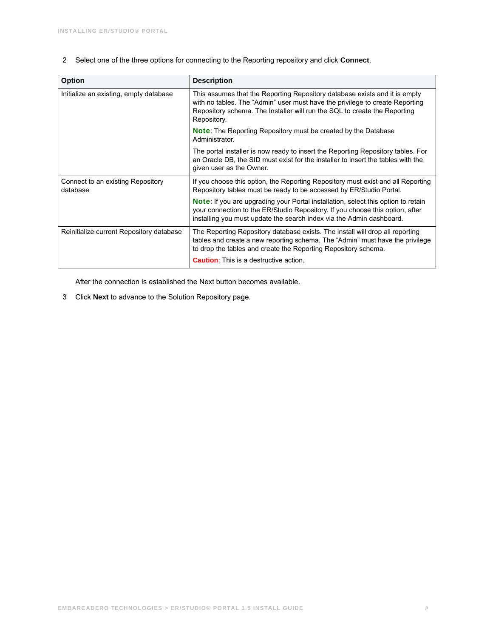2 Select one of the three options for connecting to the Reporting repository and click **Connect**.

| <b>Option</b>                                 | <b>Description</b>                                                                                                                                                                                                                                     |  |
|-----------------------------------------------|--------------------------------------------------------------------------------------------------------------------------------------------------------------------------------------------------------------------------------------------------------|--|
| Initialize an existing, empty database        | This assumes that the Reporting Repository database exists and it is empty<br>with no tables. The "Admin" user must have the privilege to create Reporting<br>Repository schema. The Installer will run the SQL to create the Reporting<br>Repository. |  |
|                                               | <b>Note:</b> The Reporting Repository must be created by the Database<br>Administrator.                                                                                                                                                                |  |
|                                               | The portal installer is now ready to insert the Reporting Repository tables. For<br>an Oracle DB, the SID must exist for the installer to insert the tables with the<br>given user as the Owner.                                                       |  |
| Connect to an existing Repository<br>database | If you choose this option, the Reporting Repository must exist and all Reporting<br>Repository tables must be ready to be accessed by ER/Studio Portal.                                                                                                |  |
|                                               | <b>Note:</b> If you are upgrading your Portal installation, select this option to retain<br>your connection to the ER/Studio Repository. If you choose this option, after<br>installing you must update the search index via the Admin dashboard.      |  |
| Reinitialize current Repository database      | The Reporting Repository database exists. The install will drop all reporting<br>tables and create a new reporting schema. The "Admin" must have the privilege<br>to drop the tables and create the Reporting Repository schema.                       |  |
|                                               | <b>Caution</b> . This is a destructive action.                                                                                                                                                                                                         |  |

After the connection is established the Next button becomes available.

3 Click **Next** to advance to the Solution Repository page.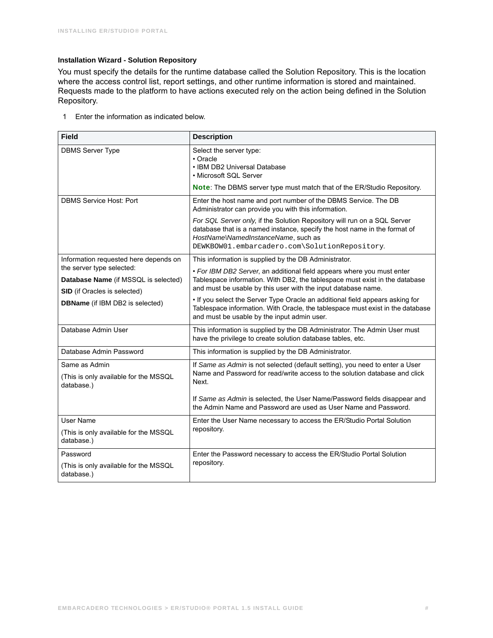#### **Installation Wizard - Solution Repository**

You must specify the details for the runtime database called the Solution Repository. This is the location where the access control list, report settings, and other runtime information is stored and maintained. Requests made to the platform to have actions executed rely on the action being defined in the Solution Repository.

1 Enter the information as indicated below.

| <b>Field</b>                                                                                                                                       | <b>Description</b>                                                                                                                                                                                                                                                                                                  |  |  |
|----------------------------------------------------------------------------------------------------------------------------------------------------|---------------------------------------------------------------------------------------------------------------------------------------------------------------------------------------------------------------------------------------------------------------------------------------------------------------------|--|--|
| <b>DBMS Server Type</b>                                                                                                                            | Select the server type:<br>$\cdot$ Oracle<br>• IBM DB2 Universal Database<br>• Microsoft SQL Server<br>Note: The DBMS server type must match that of the ER/Studio Repository.                                                                                                                                      |  |  |
| <b>DBMS Service Host: Port</b>                                                                                                                     | Enter the host name and port number of the DBMS Service. The DB<br>Administrator can provide you with this information.                                                                                                                                                                                             |  |  |
|                                                                                                                                                    | For SQL Server only, if the Solution Repository will run on a SQL Server<br>database that is a named instance, specify the host name in the format of<br>HostNameWamedInstanceName, such as<br>DEWKBOW01.embarcadero.com\SolutionRepository.                                                                        |  |  |
| Information requested here depends on                                                                                                              | This information is supplied by the DB Administrator.                                                                                                                                                                                                                                                               |  |  |
| the server type selected:<br>Database Name (if MSSQL is selected)<br><b>SID</b> (if Oracles is selected)<br><b>DBName</b> (if IBM DB2 is selected) | • For IBM DB2 Server, an additional field appears where you must enter<br>Tablespace information. With DB2, the tablespace must exist in the database<br>and must be usable by this user with the input database name.                                                                                              |  |  |
|                                                                                                                                                    | . If you select the Server Type Oracle an additional field appears asking for<br>Tablespace information. With Oracle, the tablespace must exist in the database<br>and must be usable by the input admin user.                                                                                                      |  |  |
| Database Admin User                                                                                                                                | This information is supplied by the DB Administrator. The Admin User must<br>have the privilege to create solution database tables, etc.                                                                                                                                                                            |  |  |
| Database Admin Password                                                                                                                            | This information is supplied by the DB Administrator.                                                                                                                                                                                                                                                               |  |  |
| Same as Admin<br>(This is only available for the MSSQL<br>database.)                                                                               | If Same as Admin is not selected (default setting), you need to enter a User<br>Name and Password for read/write access to the solution database and click<br>Next.<br>If Same as Admin is selected, the User Name/Password fields disappear and<br>the Admin Name and Password are used as User Name and Password. |  |  |
| User Name                                                                                                                                          | Enter the User Name necessary to access the ER/Studio Portal Solution                                                                                                                                                                                                                                               |  |  |
| (This is only available for the MSSQL<br>database.)                                                                                                | repository.                                                                                                                                                                                                                                                                                                         |  |  |
| Password                                                                                                                                           | Enter the Password necessary to access the ER/Studio Portal Solution                                                                                                                                                                                                                                                |  |  |
| (This is only available for the MSSQL<br>database.)                                                                                                | repository.                                                                                                                                                                                                                                                                                                         |  |  |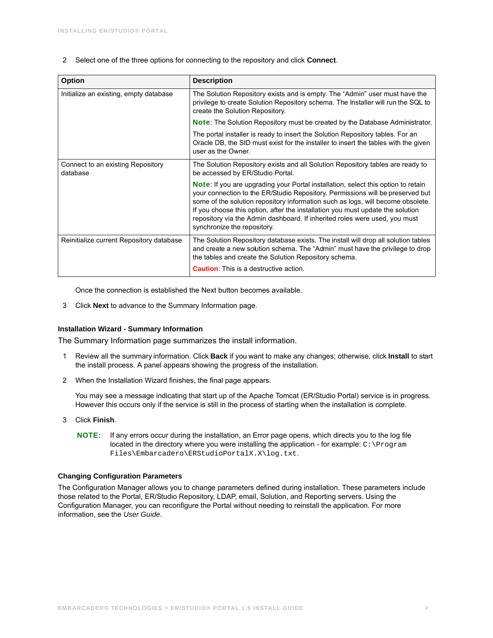2 Select one of the three options for connecting to the repository and click **Connect**.

| <b>Option</b>                                 | <b>Description</b>                                                                                                                                                                                                                                                                                                                                                                                                                                           |
|-----------------------------------------------|--------------------------------------------------------------------------------------------------------------------------------------------------------------------------------------------------------------------------------------------------------------------------------------------------------------------------------------------------------------------------------------------------------------------------------------------------------------|
| Initialize an existing, empty database        | The Solution Repository exists and is empty. The "Admin" user must have the<br>privilege to create Solution Repository schema. The Installer will run the SQL to<br>create the Solution Repository.                                                                                                                                                                                                                                                          |
|                                               | Note: The Solution Repository must be created by the Database Administrator.                                                                                                                                                                                                                                                                                                                                                                                 |
|                                               | The portal installer is ready to insert the Solution Repository tables. For an<br>Oracle DB, the SID must exist for the installer to insert the tables with the given<br>user as the Owner.                                                                                                                                                                                                                                                                  |
| Connect to an existing Repository<br>database | The Solution Repository exists and all Solution Repository tables are ready to<br>be accessed by ER/Studio Portal.                                                                                                                                                                                                                                                                                                                                           |
|                                               | <b>Note:</b> If you are upgrading your Portal installation, select this option to retain<br>your connection to the ER/Studio Repository. Permissions will be preserved but<br>some of the solution repository information such as logs, will become obsolete.<br>If you choose this option, after the installation you must update the solution<br>repository via the Admin dashboard. If inherited roles were used, you must<br>synchronize the repository. |
| Reinitialize current Repository database      | The Solution Repository database exists. The install will drop all solution tables<br>and create a new solution schema. The "Admin" must have the privilege to drop<br>the tables and create the Solution Repository schema.                                                                                                                                                                                                                                 |
|                                               | <b>Caution</b> . This is a destructive action.                                                                                                                                                                                                                                                                                                                                                                                                               |

Once the connection is established the Next button becomes available.

3 Click **Next** to advance to the Summary Information page.

#### **Installation Wizard - Summary Information**

The Summary Information page summarizes the install information.

- 1 Review all the summary information. Click **Back** if you want to make any changes; otherwise, click **Install** to start the install process. A panel appears showing the progress of the installation.
- 2 When the Installation Wizard finishes, the final page appears.

You may see a message indicating that start up of the Apache Tomcat (ER/Studio Portal) service is in progress. However this occurs only if the service is still in the process of starting when the installation is complete.

- 3 Click **Finish**.
	- **NOTE:** If any errors occur during the installation, an Error page opens, which directs you to the log file located in the directory where you were installing the application - for example:  $C:\Per\$ Files\Embarcadero\ERStudioPortalX.X\log.txt.

#### **Changing Configuration Parameters**

The Configuration Manager allows you to change parameters defined during installation. These parameters include those related to the Portal, ER/Studio Repository, LDAP, email, Solution, and Reporting servers. Using the Configuration Manager, you can reconfigure the Portal without needing to reinstall the application. For more information, see the *User Guide*.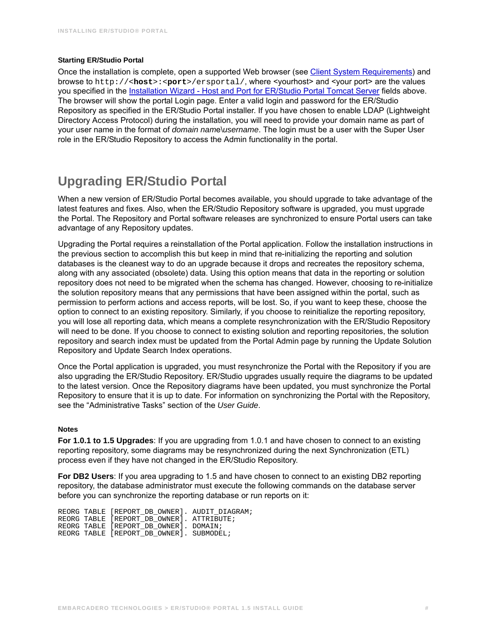#### **Starting ER/Studio Portal**

Once the installation is complete, open a supported Web browser (see [Client System Requirements](#page-4-1)) and browse to http://<**host**>:<**port**>/ersportal/, where <yourhost> and <your port> are the values you specified in the [Installation Wizard - Host and Port for ER/Studio Portal Tomcat Server](#page-5-0) fields above. The browser will show the portal Login page. Enter a valid login and password for the ER/Studio Repository as specified in the ER/Studio Portal installer. If you have chosen to enable LDAP (Lightweight Directory Access Protocol) during the installation, you will need to provide your domain name as part of your user name in the format of *domain nam*e\*username*. The login must be a user with the Super User role in the ER/Studio Repository to access the Admin functionality in the portal.

## <span id="page-12-0"></span>**Upgrading ER/Studio Portal**

When a new version of ER/Studio Portal becomes available, you should upgrade to take advantage of the latest features and fixes. Also, when the ER/Studio Repository software is upgraded, you must upgrade the Portal. The Repository and Portal software releases are synchronized to ensure Portal users can take advantage of any Repository updates.

Upgrading the Portal requires a reinstallation of the Portal application. Follow the installation instructions in the previous section to accomplish this but keep in mind that re-initializing the reporting and solution databases is the cleanest way to do an upgrade because it drops and recreates the repository schema, along with any associated (obsolete) data. Using this option means that data in the reporting or solution repository does not need to be migrated when the schema has changed. However, choosing to re-initialize the solution repository means that any permissions that have been assigned within the portal, such as permission to perform actions and access reports, will be lost. So, if you want to keep these, choose the option to connect to an existing repository. Similarly, if you choose to reinitialize the reporting repository, you will lose all reporting data, which means a complete resynchronization with the ER/Studio Repository will need to be done. If you choose to connect to existing solution and reporting repositories, the solution repository and search index must be updated from the Portal Admin page by running the Update Solution Repository and Update Search Index operations.

Once the Portal application is upgraded, you must resynchronize the Portal with the Repository if you are also upgrading the ER/Studio Repository. ER/Studio upgrades usually require the diagrams to be updated to the latest version. Once the Repository diagrams have been updated, you must synchronize the Portal Repository to ensure that it is up to date. For information on synchronizing the Portal with the Repository, see the "Administrative Tasks" section of the *User Guide*.

#### **Notes**

**For 1.0.1 to 1.5 Upgrades**: If you are upgrading from 1.0.1 and have chosen to connect to an existing reporting repository, some diagrams may be resynchronized during the next Synchronization (ETL) process even if they have not changed in the ER/Studio Repository.

**For DB2 Users**: If you area upgrading to 1.5 and have chosen to connect to an existing DB2 reporting repository, the database administrator must execute the following commands on the database server before you can synchronize the reporting database or run reports on it:

REORG TABLE [REPORT\_DB\_OWNER]. AUDIT\_DIAGRAM; REORG TABLE [REPORT\_DB\_OWNER]. ATTRIBUTE; REORG TABLE [REPORT\_DB\_OWNER]. DOMAIN; REORG TABLE [REPORT\_DB\_OWNER]. SUBMODEL;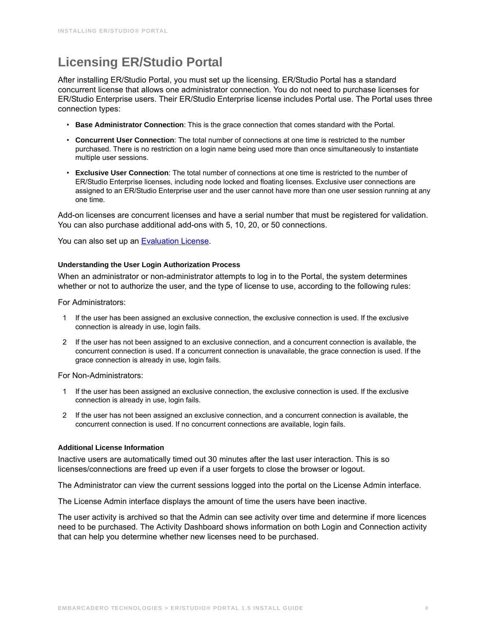## <span id="page-13-0"></span>**Licensing ER/Studio Portal**

After installing ER/Studio Portal, you must set up the licensing. ER/Studio Portal has a standard concurrent license that allows one administrator connection. You do not need to purchase licenses for ER/Studio Enterprise users. Their ER/Studio Enterprise license includes Portal use. The Portal uses three connection types:

- **Base Administrator Connection**: This is the grace connection that comes standard with the Portal.
- **Concurrent User Connection**: The total number of connections at one time is restricted to the number purchased. There is no restriction on a login name being used more than once simultaneously to instantiate multiple user sessions.
- **Exclusive User Connection**: The total number of connections at one time is restricted to the number of ER/Studio Enterprise licenses, including node locked and floating licenses. Exclusive user connections are assigned to an ER/Studio Enterprise user and the user cannot have more than one user session running at any one time.

Add-on licenses are concurrent licenses and have a serial number that must be registered for validation. You can also purchase additional add-ons with 5, 10, 20, or 50 connections.

You can also set up an [Evaluation License](#page-16-0).

#### **Understanding the User Login Authorization Process**

When an administrator or non-administrator attempts to log in to the Portal, the system determines whether or not to authorize the user, and the type of license to use, according to the following rules:

For Administrators:

- 1 If the user has been assigned an exclusive connection, the exclusive connection is used. If the exclusive connection is already in use, login fails.
- 2 If the user has not been assigned to an exclusive connection, and a concurrent connection is available, the concurrent connection is used. If a concurrent connection is unavailable, the grace connection is used. If the grace connection is already in use, login fails.

For Non-Administrators:

- 1 If the user has been assigned an exclusive connection, the exclusive connection is used. If the exclusive connection is already in use, login fails.
- 2 If the user has not been assigned an exclusive connection, and a concurrent connection is available, the concurrent connection is used. If no concurrent connections are available, login fails.

#### **Additional License Information**

Inactive users are automatically timed out 30 minutes after the last user interaction. This is so licenses/connections are freed up even if a user forgets to close the browser or logout.

The Administrator can view the current sessions logged into the portal on the License Admin interface.

The License Admin interface displays the amount of time the users have been inactive.

The user activity is archived so that the Admin can see activity over time and determine if more licences need to be purchased. The Activity Dashboard shows information on both Login and Connection activity that can help you determine whether new licenses need to be purchased.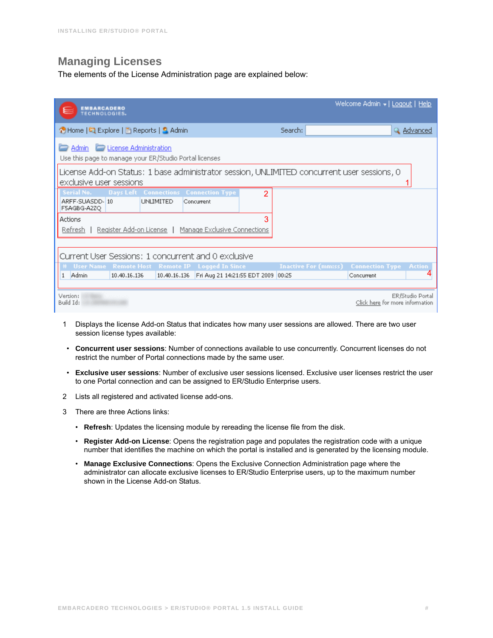## <span id="page-14-0"></span>**Managing Licenses**

The elements of the License Administration page are explained below:

| <b>EMBARCADERO</b><br><b>TECHNOLOGIES.</b>                                                                            |                                                     |                             | Welcome Admin →   <u>Logout</u>   <u>Help</u>       |
|-----------------------------------------------------------------------------------------------------------------------|-----------------------------------------------------|-----------------------------|-----------------------------------------------------|
| ↑ Home   국 Explore   ③ Reports   S. Admin                                                                             |                                                     | Search:                     | Q Advanced                                          |
| License Administration<br>Admin<br>Use this page to manage your ER/Studio Portal licenses                             |                                                     |                             |                                                     |
| License Add-on Status: 1 base administrator session, UNLIMITED concurrent user sessions, 0<br>exclusive user sessions |                                                     |                             |                                                     |
| <b>Days Left Connections Connection Type</b><br>Serial No.<br>ARFF-SUASDD-10<br><b>UNLIMITED</b><br>F5AGBG-A2ZO       | $\mathcal{P}$<br>Concurrent                         |                             |                                                     |
| Actions<br>Register Add-on License   Manage Exclusive Connections<br>Refresh                                          | 3                                                   |                             |                                                     |
| Current User Sessions: 1 concurrent and 0 exclusive                                                                   |                                                     |                             |                                                     |
| # User Name Remote Host Remote IP Logged In Since<br>Admin<br>10.40.16.136<br>$\mathbf{1}$                            | 10.40.16.136   Fri Aug 21 14:21:55 EDT 2009   00:25 | <b>Inactive For (mm:ss)</b> | <b>Connection Type Action</b><br>Concurrent         |
| Version:<br>Build Id:                                                                                                 |                                                     |                             | ER/Studio Portal<br>Click here for more information |

- 1 Displays the license Add-on Status that indicates how many user sessions are allowed. There are two user session license types available:
- **Concurrent user sessions**: Number of connections available to use concurrently. Concurrent licenses do not restrict the number of Portal connections made by the same user.
- **Exclusive user sessions**: Number of exclusive user sessions licensed. Exclusive user licenses restrict the user to one Portal connection and can be assigned to ER/Studio Enterprise users.
- 2 Lists all registered and activated license add-ons.
- 3 There are three Actions links:
	- **Refresh**: Updates the licensing module by rereading the license file from the disk.
	- **Register Add-on License**: Opens the registration page and populates the registration code with a unique number that identifies the machine on which the portal is installed and is generated by the licensing module.
	- **Manage Exclusive Connections**: Opens the Exclusive Connection Administration page where the administrator can allocate exclusive licenses to ER/Studio Enterprise users, up to the maximum number shown in the License Add-on Status.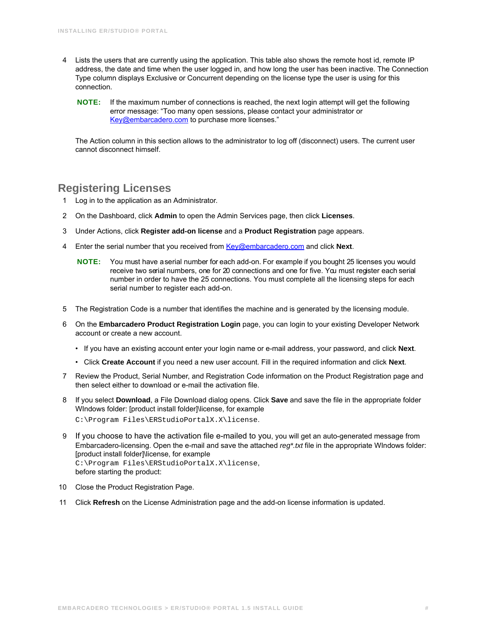- 4 Lists the users that are currently using the application. This table also shows the remote host id, remote IP address, the date and time when the user logged in, and how long the user has been inactive. The Connection Type column displays Exclusive or Concurrent depending on the license type the user is using for this connection.
	- **NOTE:** If the maximum number of connections is reached, the next login attempt will get the following error message: "Too many open sessions, please contact your administrator or [Key@embarcadero.com](mailto:key@embarcadero.com?subject=License Add-on Serial Number Request) to purchase more licenses."

The Action column in this section allows to the administrator to log off (disconnect) users. The current user cannot disconnect himself.

## <span id="page-15-0"></span>**Registering Licenses**

- 1 Log in to the application as an Administrator.
- 2 On the Dashboard, click **Admin** to open the Admin Services page, then click **Licenses**.
- 3 Under Actions, click **Register add-on license** and a **Product Registration** page appears.
- 4 Enter the serial number that you received from [Key@embarcadero.com](mailto:key@embarcadero.com?subject=License Add-on Serial Number Request) and click **Next**.
	- **NOTE:** You must have a serial number for each add-on. For example if you bought 25 licenses you would receive two serial numbers, one for 20 connections and one for five. You must register each serial number in order to have the 25 connections. You must complete all the licensing steps for each serial number to register each add-on.
- 5 The Registration Code is a number that identifies the machine and is generated by the licensing module.
- 6 On the **Embarcadero Product Registration Login** page, you can login to your existing Developer Network account or create a new account.
	- If you have an existing account enter your login name or e-mail address, your password, and click **Next**.
	- Click **Create Account** if you need a new user account. Fill in the required information and click **Next**.
- 7 Review the Product, Serial Number, and Registration Code information on the Product Registration page and then select either to download or e-mail the activation file.
- 8 If you select **Download**, a File Download dialog opens. Click **Save** and save the file in the appropriate folder WIndows folder: [product install folder]\license, for example C:\Program Files\ERStudioPortalX.X\license.
- 9 If you choose to have the activation file e-mailed to you, you will get an auto-generated message from Embarcadero-licensing. Open the e-mail and save the attached *reg\*.txt* file in the appropriate WIndows folder: [product install folder]\license, for example C:\Program Files\ERStudioPortalX.X\license, before starting the product:
- 10 Close the Product Registration Page.
- 11 Click **Refresh** on the License Administration page and the add-on license information is updated.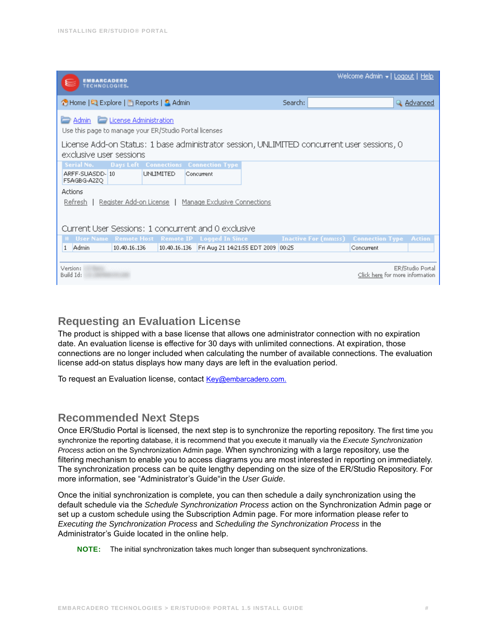| <b>EMBARCADERO</b><br><b>TECHNOLOGIES</b>                                                                                                  |                                                                                |                                    |  | Welcome Admin +   Logout   Help             |                  |
|--------------------------------------------------------------------------------------------------------------------------------------------|--------------------------------------------------------------------------------|------------------------------------|--|---------------------------------------------|------------------|
| ↑ Home   국 Explore   A Reports   S. Admin                                                                                                  |                                                                                | Search:                            |  |                                             | Q Advanced       |
| License Administration<br>Admin<br>Use this page to manage your ER/Studio Portal licenses                                                  |                                                                                |                                    |  |                                             |                  |
| License Add-on Status: 1 base administrator session, UNLIMITED concurrent user sessions, 0<br>exclusive user sessions                      |                                                                                |                                    |  |                                             |                  |
| Serial No.<br>ARFF-SUASDD-10<br>F5AGBG-A2ZQ                                                                                                | <b>Days Left Connections Connection Type</b><br><b>UNLIMITED</b><br>Concurrent |                                    |  |                                             |                  |
| Actions<br>Register Add-on License   Manage Exclusive Connections<br><u>Refresh</u><br>Current User Sessions: 1 concurrent and 0 exclusive |                                                                                |                                    |  |                                             |                  |
| # User Name Remote Host Remote IP Logged In Since                                                                                          |                                                                                |                                    |  | <b>Inactive For (mm:ss)</b> Connection Type | <b>Action</b>    |
| 1 Admin<br>10.40.16.136                                                                                                                    | 10.40.16.136                                                                   | Fri Aug 21 14:21:55 EDT 2009 00:25 |  | Concurrent                                  |                  |
| Version:<br>Build Id:                                                                                                                      |                                                                                |                                    |  | Click here for more information             | ER/Studio Portal |

### <span id="page-16-0"></span>**Requesting an Evaluation License**

The product is shipped with a base license that allows one administrator connection with no expiration date. An evaluation license is effective for 30 days with unlimited connections. At expiration, those connections are no longer included when calculating the number of available connections. The evaluation license add-on status displays how many days are left in the evaluation period.

To request an Evaluation license, contact [Key@embarcadero.com.](mailto:key@embarcadero.com?subject=License Add-on Serial Number Request)

## <span id="page-16-1"></span>**Recommended Next Steps**

Once ER/Studio Portal is licensed, the next step is to synchronize the reporting repository. The first time you synchronize the reporting database, it is recommend that you execute it manually via the *Execute Synchronization Process* action on the Synchronization Admin page. When synchronizing with a large repository, use the filtering mechanism to enable you to access diagrams you are most interested in reporting on immediately. The synchronization process can be quite lengthy depending on the size of the ER/Studio Repository. For more information, see "Administrator's Guide"in the *User Guide*.

Once the initial synchronization is complete, you can then schedule a daily synchronization using the default schedule via the *Schedule Synchronization Process* action on the Synchronization Admin page or set up a custom schedule using the Subscription Admin page. For more information please refer to *Executing the Synchronization Process* and *Scheduling the Synchronization Process* in the Administrator's Guide located in the online help.

**NOTE:** The initial synchronization takes much longer than subsequent synchronizations.